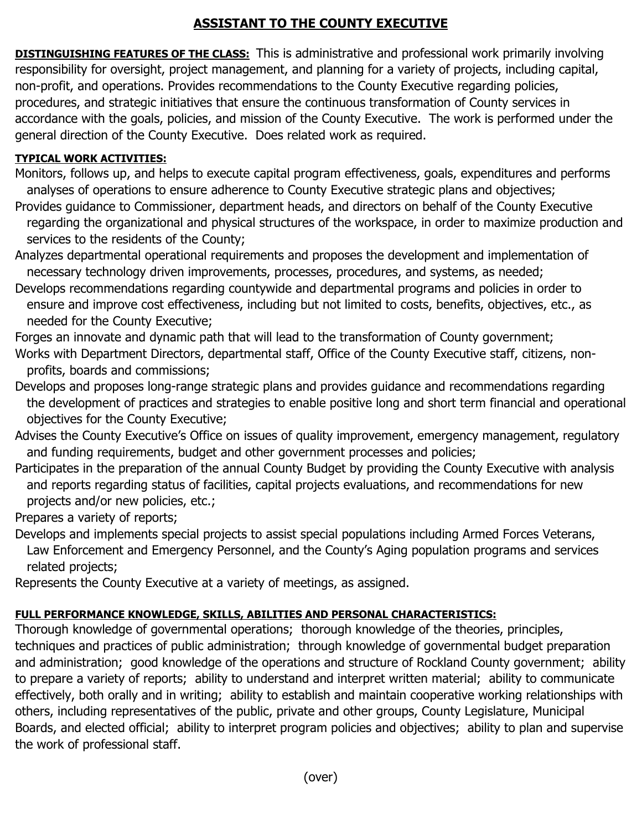## **ASSISTANT TO THE COUNTY EXECUTIVE**

**DISTINGUISHING FEATURES OF THE CLASS:** This is administrative and professional work primarily involving responsibility for oversight, project management, and planning for a variety of projects, including capital, non-profit, and operations. Provides recommendations to the County Executive regarding policies, procedures, and strategic initiatives that ensure the continuous transformation of County services in accordance with the goals, policies, and mission of the County Executive. The work is performed under the general direction of the County Executive. Does related work as required.

## **TYPICAL WORK ACTIVITIES:**

- Monitors, follows up, and helps to execute capital program effectiveness, goals, expenditures and performs analyses of operations to ensure adherence to County Executive strategic plans and objectives;
- Provides guidance to Commissioner, department heads, and directors on behalf of the County Executive regarding the organizational and physical structures of the workspace, in order to maximize production and services to the residents of the County;
- Analyzes departmental operational requirements and proposes the development and implementation of necessary technology driven improvements, processes, procedures, and systems, as needed;
- Develops recommendations regarding countywide and departmental programs and policies in order to ensure and improve cost effectiveness, including but not limited to costs, benefits, objectives, etc., as needed for the County Executive;
- Forges an innovate and dynamic path that will lead to the transformation of County government;
- Works with Department Directors, departmental staff, Office of the County Executive staff, citizens, non profits, boards and commissions;
- Develops and proposes long-range strategic plans and provides guidance and recommendations regarding the development of practices and strategies to enable positive long and short term financial and operational objectives for the County Executive;
- Advises the County Executive's Office on issues of quality improvement, emergency management, regulatory and funding requirements, budget and other government processes and policies;
- Participates in the preparation of the annual County Budget by providing the County Executive with analysis and reports regarding status of facilities, capital projects evaluations, and recommendations for new projects and/or new policies, etc.;

Prepares a variety of reports;

- Develops and implements special projects to assist special populations including Armed Forces Veterans, Law Enforcement and Emergency Personnel, and the County's Aging population programs and services related projects;
- Represents the County Executive at a variety of meetings, as assigned.

## **FULL PERFORMANCE KNOWLEDGE, SKILLS, ABILITIES AND PERSONAL CHARACTERISTICS:**

Thorough knowledge of governmental operations; thorough knowledge of the theories, principles, techniques and practices of public administration; through knowledge of governmental budget preparation and administration; good knowledge of the operations and structure of Rockland County government; ability to prepare a variety of reports; ability to understand and interpret written material; ability to communicate effectively, both orally and in writing; ability to establish and maintain cooperative working relationships with others, including representatives of the public, private and other groups, County Legislature, Municipal Boards, and elected official; ability to interpret program policies and objectives; ability to plan and supervise the work of professional staff.